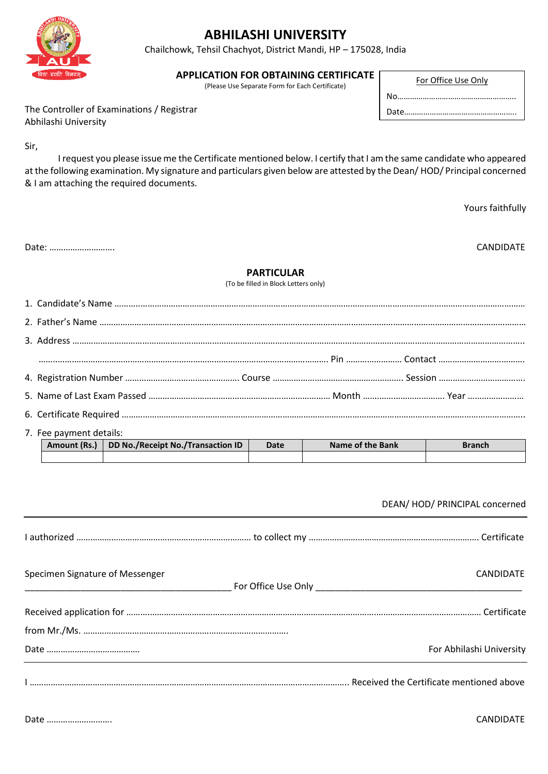

# **ABHILASHI UNIVERSITY**

Chailchowk, Tehsil Chachyot, District Mandi, HP – 175028, India

## **APPLICATION FOR OBTAINING CERTIFICATE**

(Please Use Separate Form for Each Certificate)

| For Office Use Only |
|---------------------|
|                     |
|                     |

.

The Controller of Examinations / Registrar Abhilashi University

Sir,

I request you please issue me the Certificate mentioned below. I certify that I am the same candidate who appeared at the following examination. My signature and particulars given below are attested by the Dean/ HOD/ Principal concerned & I am attaching the required documents.

Yours faithfully

Date: ………………………. CANDIDATE

### **PARTICULAR**

(To be filled in Block Letters only)

| 7. Fee payment details:<br><u> 1999 - Johann Harry Harry Harry Harry Harry Harry Harry Harry Harry Harry Harry Harry Harry Harry Harry Harry</u> |  |
|--------------------------------------------------------------------------------------------------------------------------------------------------|--|

| Amount (Rs.) | DD No./Receipt No./Transaction ID | <b>Date</b> | Name of the Bank | Branch |
|--------------|-----------------------------------|-------------|------------------|--------|
|              |                                   |             |                  |        |

## DEAN/ HOD/ PRINCIPAL concerned

| Specimen Signature of Messenger | <b>CANDIDATE</b>         |
|---------------------------------|--------------------------|
|                                 |                          |
|                                 |                          |
|                                 | For Abhilashi University |
|                                 |                          |